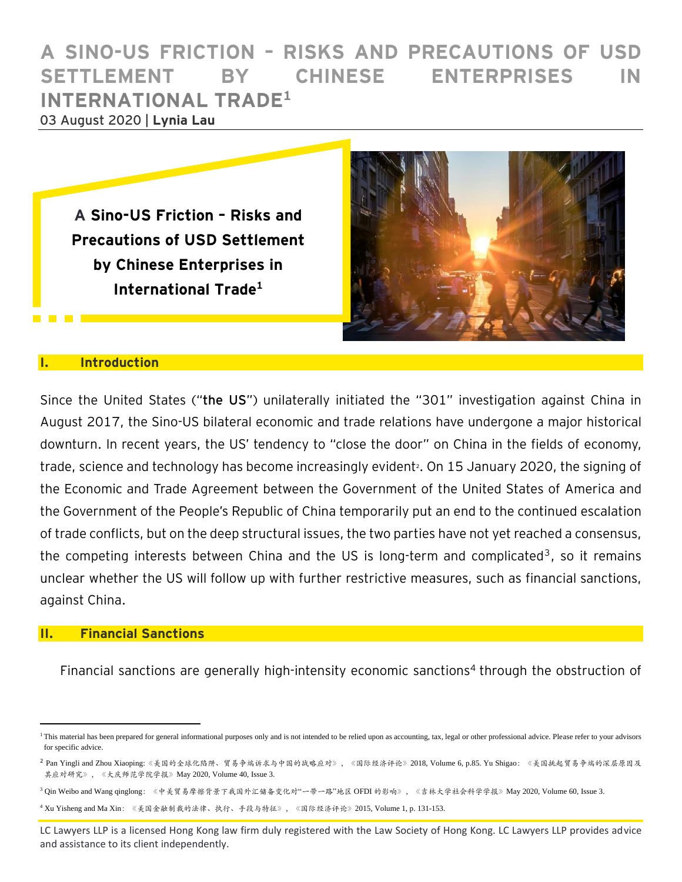# **A SINO-US FRICTION – RISKS AND PRECAUTIONS OF USD SETTLEMENT BY CHINESE ENTERPRISES IN INTERNATIONAL TRADE<sup>1</sup>** 03 August 2020 | **Lynia Lau**

**A Sino-US Friction – Risks and Precautions of USD Settlement by Chinese Enterprises in International Trade1**



#### **I. Introduction**

Since the United States ("**the US**") unilaterally initiated the "301" investigation against China in August 2017, the Sino-US bilateral economic and trade relations have undergone a major historical downturn. In recent years, the US' tendency to "close the door" on China in the fields of economy, trade, science and technology has become increasingly evident<sup>2</sup>. On 15 January 2020, the signing of the Economic and Trade Agreement between the Government of the United States of America and the Government of the People's Republic of China temporarily put an end to the continued escalation of trade conflicts, but on the deep structural issues, the two parties have not yet reached a consensus, the competing interests between China and the US is long-term and complicated<sup>3</sup>, so it remains unclear whether the US will follow up with further restrictive measures, such as financial sanctions, against China.

### **II. Financial Sanctions**

Financial sanctions are generally high-intensity economic sanctions<sup>4</sup> through the obstruction of

<sup>3</sup> Qin Weibo and Wang qinglong: 《中美贸易摩擦背景下我国外汇储备变化对"一带一路"地区 OFDI 的影响》, 《吉林大学社会科学学报》May 2020, Volume 60, Issue 3.

<sup>4</sup> Xu Yisheng and Ma Xin:《美国金融制裁的法律、执行、手段与特征》,《国际经济评论》2015, Volume 1, p. 131-153.

<sup>&</sup>lt;sup>1</sup>This material has been prepared for general informational purposes only and is not intended to be relied upon as accounting, tax, legal or other professional advice. Please refer to your advisors for specific advice.

<sup>2</sup> Pan Yingli and Zhou Xiaoping:《美国的全球化陷阱、贸易争端诉求与中国的战略应对》,《国际经济评论》2018, Volume 6, p.85. Yu Shigao:《美国挑起贸易争端的深层原因及 其应对研究》,《大庆师范学院学报》May 2020, Volume 40, Issue 3.

LC Lawyers LLP is a licensed Hong Kong law firm duly registered with the Law Society of Hong Kong. LC Lawyers LLP provides advice and assistance to its client independently.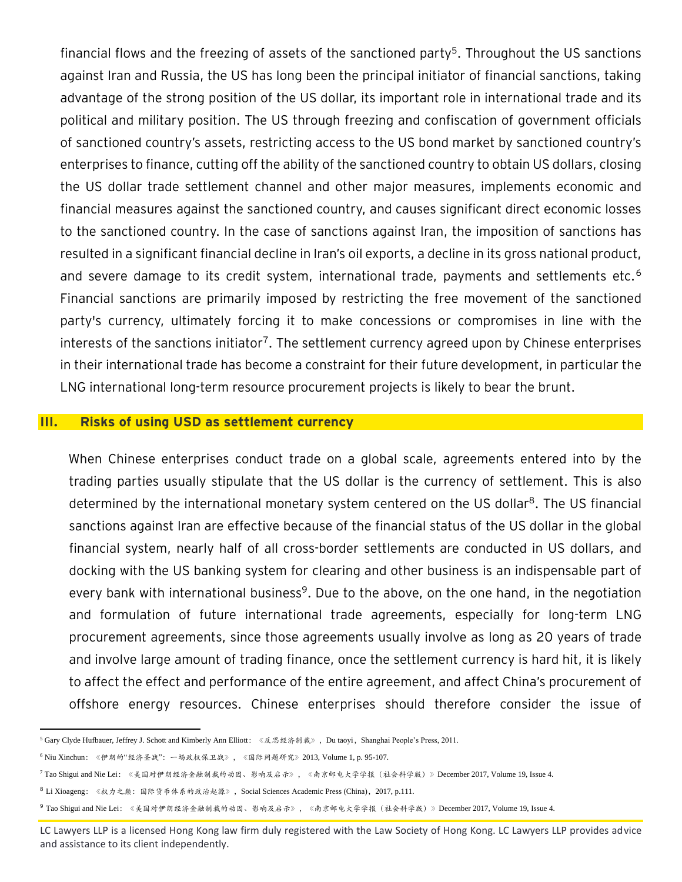financial flows and the freezing of assets of the sanctioned party<sup>5</sup>. Throughout the US sanctions against Iran and Russia, the US has long been the principal initiator of financial sanctions, taking advantage of the strong position of the US dollar, its important role in international trade and its political and military position. The US through freezing and confiscation of government officials of sanctioned country's assets, restricting access to the US bond market by sanctioned country's enterprises to finance, cutting off the ability of the sanctioned country to obtain US dollars, closing the US dollar trade settlement channel and other major measures, implements economic and financial measures against the sanctioned country, and causes significant direct economic losses to the sanctioned country. In the case of sanctions against Iran, the imposition of sanctions has resulted in a significant financial decline in Iran's oil exports, a decline in its gross national product, and severe damage to its credit system, international trade, payments and settlements etc.<sup>6</sup> Financial sanctions are primarily imposed by restricting the free movement of the sanctioned party's currency, ultimately forcing it to make concessions or compromises in line with the interests of the sanctions initiator<sup>7</sup>. The settlement currency agreed upon by Chinese enterprises in their international trade has become a constraint for their future development, in particular the LNG international long-term resource procurement projects is likely to bear the brunt.

#### **III. Risks of using USD as settlement currency**

When Chinese enterprises conduct trade on a global scale, agreements entered into by the trading parties usually stipulate that the US dollar is the currency of settlement. This is also determined by the international monetary system centered on the US dollar<sup>8</sup>. The US financial sanctions against Iran are effective because of the financial status of the US dollar in the global financial system, nearly half of all cross-border settlements are conducted in US dollars, and docking with the US banking system for clearing and other business is an indispensable part of every bank with international business<sup>9</sup>. Due to the above, on the one hand, in the negotiation and formulation of future international trade agreements, especially for long-term LNG procurement agreements, since those agreements usually involve as long as 20 years of trade and involve large amount of trading finance, once the settlement currency is hard hit, it is likely to affect the effect and performance of the entire agreement, and affect China's procurement of offshore energy resources. Chinese enterprises should therefore consider the issue of

<sup>5</sup> Gary Clyde Hufbauer, Jeffrey J. Schott and Kimberly Ann Elliott:《反思经济制裁》,Du taoyi,Shanghai People's Press, 2011.

<sup>6</sup> Niu Xinchun:《伊朗的"经济圣战":一场政权保卫战》,《国际问题研究》2013, Volume 1, p. 95-107.

<sup>7</sup> Tao Shigui and Nie Lei:《美国对伊朗经济金融制裁的动因、影响及启示》,《南京邮电大学学报(社会科学版)》December 2017, Volume 19, Issue 4.

<sup>8</sup> Li Xioageng:《权力之巅:国际货币体系的政治起源》,Social Sciences Academic Press (China),2017, p.111.

<sup>9</sup> Tao Shigui and Nie Lei:《美国对伊朗经济金融制裁的动因、影响及启示》,《南京邮电大学学报(社会科学版)》December 2017, Volume 19, Issue 4.

LC Lawyers LLP is a licensed Hong Kong law firm duly registered with the Law Society of Hong Kong. LC Lawyers LLP provides advice and assistance to its client independently.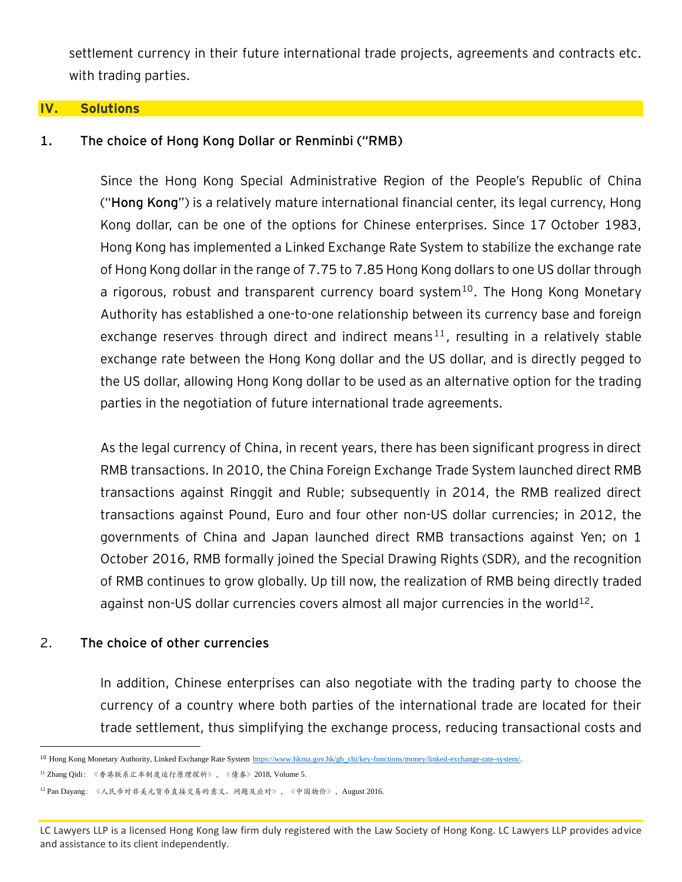settlement currency in their future international trade projects, agreements and contracts etc. with trading parties.

#### **IV. Solutions**

### **1. The choice of Hong Kong Dollar or Renminbi ("RMB)**

Since the Hong Kong Special Administrative Region of the People's Republic of China ("**Hong Kong**") is a relatively mature international financial center, its legal currency, Hong Kong dollar, can be one of the options for Chinese enterprises. Since 17 October 1983, Hong Kong has implemented a Linked Exchange Rate System to stabilize the exchange rate of Hong Kong dollar in the range of 7.75 to 7.85 Hong Kong dollars to one US dollar through a rigorous, robust and transparent currency board system<sup>10</sup>. The Hong Kong Monetary Authority has established a one-to-one relationship between its currency base and foreign exchange reserves through direct and indirect means<sup>11</sup>, resulting in a relatively stable exchange rate between the Hong Kong dollar and the US dollar, and is directly pegged to the US dollar, allowing Hong Kong dollar to be used as an alternative option for the trading parties in the negotiation of future international trade agreements.

As the legal currency of China, in recent years, there has been significant progress in direct RMB transactions. In 2010, the China Foreign Exchange Trade System launched direct RMB transactions against Ringgit and Ruble; subsequently in 2014, the RMB realized direct transactions against Pound, Euro and four other non-US dollar currencies; in 2012, the governments of China and Japan launched direct RMB transactions against Yen; on 1 October 2016, RMB formally joined the Special Drawing Rights (SDR), and the recognition of RMB continues to grow globally. Up till now, the realization of RMB being directly traded against non-US dollar currencies covers almost all major currencies in the world $^{12}$ .

### 2. **The choice of other currencies**

In addition, Chinese enterprises can also negotiate with the trading party to choose the currency of a country where both parties of the international trade are located for their trade settlement, thus simplifying the exchange process, reducing transactional costs and

<sup>&</sup>lt;sup>10</sup> Hong Kong Monetary Authority, Linked Exchange Rate System [https://www.hkma.gov.hk/gb\\_chi/key-functions/money/linked-exchange-rate-system/.](https://www.hkma.gov.hk/gb_chi/key-functions/money/linked-exchange-rate-system/)

<sup>11</sup> Zhang Qidi:《香港联系汇率制度运行原理探析》,《债券》2018, Volume 5.

<sup>12</sup> Pan Dayang:《人民币对非美元货币直接交易的意义、问题及应对》,《中国物价》,August 2016.

LC Lawyers LLP is a licensed Hong Kong law firm duly registered with the Law Society of Hong Kong. LC Lawyers LLP provides advice and assistance to its client independently.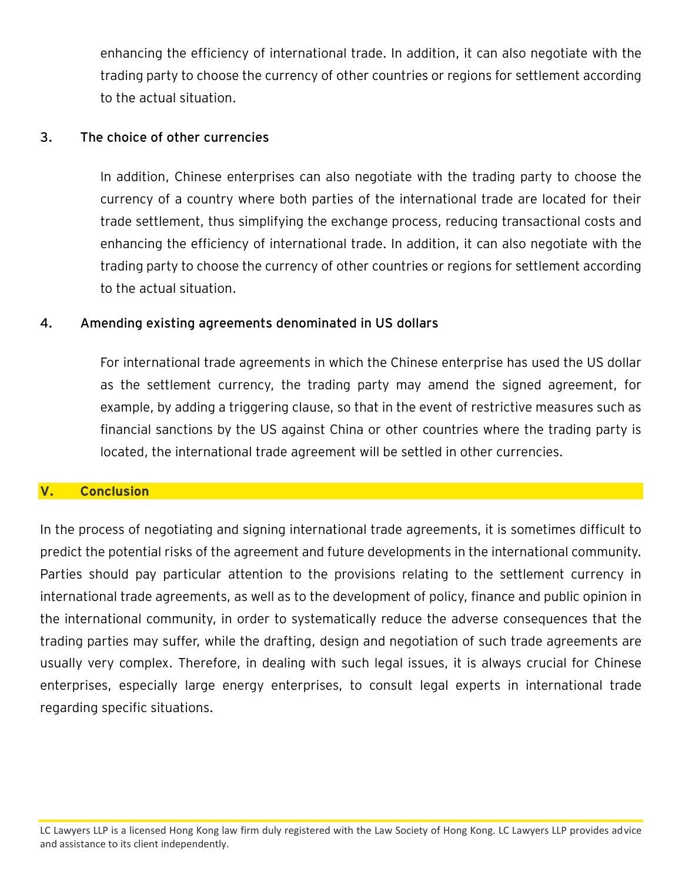enhancing the efficiency of international trade. In addition, it can also negotiate with the trading party to choose the currency of other countries or regions for settlement according to the actual situation.

## **3. The choice of other currencies**

In addition, Chinese enterprises can also negotiate with the trading party to choose the currency of a country where both parties of the international trade are located for their trade settlement, thus simplifying the exchange process, reducing transactional costs and enhancing the efficiency of international trade. In addition, it can also negotiate with the trading party to choose the currency of other countries or regions for settlement according to the actual situation.

## **4. Amending existing agreements denominated in US dollars**

For international trade agreements in which the Chinese enterprise has used the US dollar as the settlement currency, the trading party may amend the signed agreement, for example, by adding a triggering clause, so that in the event of restrictive measures such as financial sanctions by the US against China or other countries where the trading party is located, the international trade agreement will be settled in other currencies.

### **V. Conclusion**

In the process of negotiating and signing international trade agreements, it is sometimes difficult to predict the potential risks of the agreement and future developments in the international community. Parties should pay particular attention to the provisions relating to the settlement currency in international trade agreements, as well as to the development of policy, finance and public opinion in the international community, in order to systematically reduce the adverse consequences that the trading parties may suffer, while the drafting, design and negotiation of such trade agreements are usually very complex. Therefore, in dealing with such legal issues, it is always crucial for Chinese enterprises, especially large energy enterprises, to consult legal experts in international trade regarding specific situations.

LC Lawyers LLP is a licensed Hong Kong law firm duly registered with the Law Society of Hong Kong. LC Lawyers LLP provides advice and assistance to its client independently.